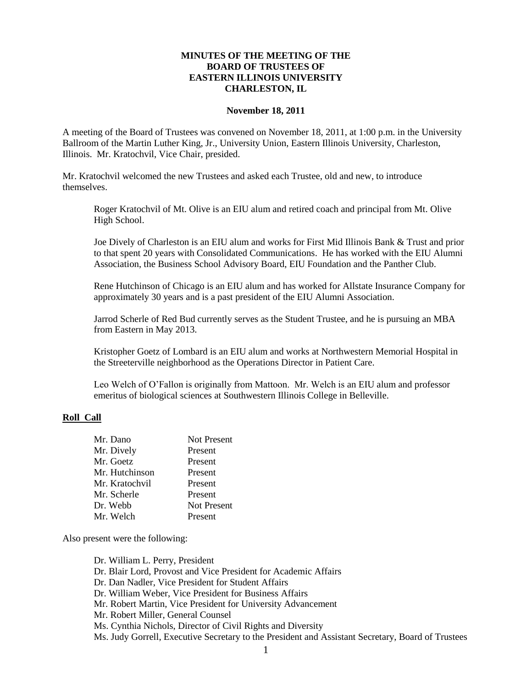### **MINUTES OF THE MEETING OF THE BOARD OF TRUSTEES OF EASTERN ILLINOIS UNIVERSITY CHARLESTON, IL**

#### **November 18, 2011**

A meeting of the Board of Trustees was convened on November 18, 2011, at 1:00 p.m. in the University Ballroom of the Martin Luther King, Jr., University Union, Eastern Illinois University, Charleston, Illinois. Mr. Kratochvil, Vice Chair, presided.

Mr. Kratochvil welcomed the new Trustees and asked each Trustee, old and new, to introduce themselves.

Roger Kratochvil of Mt. Olive is an EIU alum and retired coach and principal from Mt. Olive High School.

Joe Dively of Charleston is an EIU alum and works for First Mid Illinois Bank & Trust and prior to that spent 20 years with Consolidated Communications. He has worked with the EIU Alumni Association, the Business School Advisory Board, EIU Foundation and the Panther Club.

Rene Hutchinson of Chicago is an EIU alum and has worked for Allstate Insurance Company for approximately 30 years and is a past president of the EIU Alumni Association.

Jarrod Scherle of Red Bud currently serves as the Student Trustee, and he is pursuing an MBA from Eastern in May 2013.

Kristopher Goetz of Lombard is an EIU alum and works at Northwestern Memorial Hospital in the Streeterville neighborhood as the Operations Director in Patient Care.

Leo Welch of O'Fallon is originally from Mattoon. Mr. Welch is an EIU alum and professor emeritus of biological sciences at Southwestern Illinois College in Belleville.

#### **Roll Call**

| Mr. Dano       | <b>Not Present</b> |
|----------------|--------------------|
| Mr. Dively     | Present            |
| Mr. Goetz      | Present            |
| Mr. Hutchinson | Present            |
| Mr. Kratochvil | Present            |
| Mr. Scherle    | Present            |
| Dr. Webb       | <b>Not Present</b> |
| Mr. Welch      | Present            |

Also present were the following:

Dr. William L. Perry, President Dr. Blair Lord, Provost and Vice President for Academic Affairs Dr. Dan Nadler, Vice President for Student Affairs Dr. William Weber, Vice President for Business Affairs Mr. Robert Martin, Vice President for University Advancement Mr. Robert Miller, General Counsel Ms. Cynthia Nichols, Director of Civil Rights and Diversity Ms. Judy Gorrell, Executive Secretary to the President and Assistant Secretary, Board of Trustees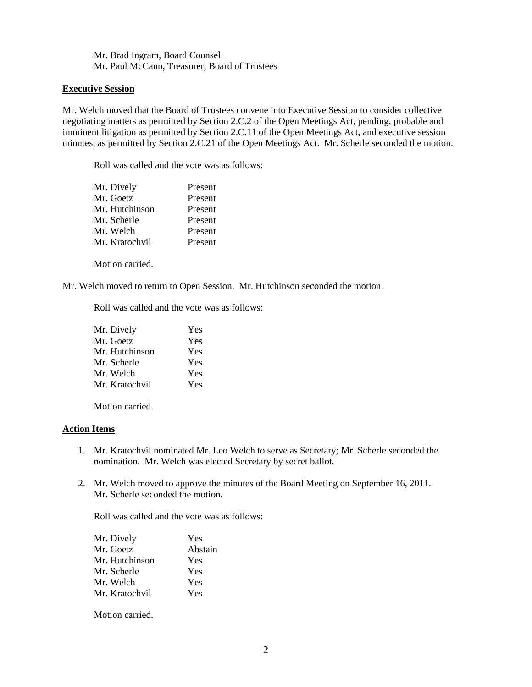Mr. Brad Ingram, Board Counsel Mr. Paul McCann, Treasurer, Board of Trustees

### **Executive Session**

Mr. Welch moved that the Board of Trustees convene into Executive Session to consider collective negotiating matters as permitted by Section 2.C.2 of the Open Meetings Act, pending, probable and imminent litigation as permitted by Section 2.C.11 of the Open Meetings Act, and executive session minutes, as permitted by Section 2.C.21 of the Open Meetings Act. Mr. Scherle seconded the motion.

Roll was called and the vote was as follows:

| Mr. Dively     | Present |
|----------------|---------|
| Mr. Goetz      | Present |
| Mr. Hutchinson | Present |
| Mr. Scherle    | Present |
| Mr. Welch      | Present |
| Mr. Kratochvil | Present |

Motion carried.

Mr. Welch moved to return to Open Session. Mr. Hutchinson seconded the motion.

Roll was called and the vote was as follows:

| Yes |
|-----|
| Yes |
| Yes |
| Yes |
| Yes |
| Yes |
|     |

Motion carried.

### **Action Items**

- 1. Mr. Kratochvil nominated Mr. Leo Welch to serve as Secretary; Mr. Scherle seconded the nomination. Mr. Welch was elected Secretary by secret ballot.
- 2. Mr. Welch moved to approve the minutes of the Board Meeting on September 16, 2011. Mr. Scherle seconded the motion.

Roll was called and the vote was as follows:

| Mr. Dively     | Yes     |
|----------------|---------|
| Mr. Goetz      | Abstain |
| Mr. Hutchinson | Yes     |
| Mr. Scherle    | Yes     |
| Mr. Welch      | Yes     |
| Mr. Kratochvil | Yes     |
|                |         |

Motion carried.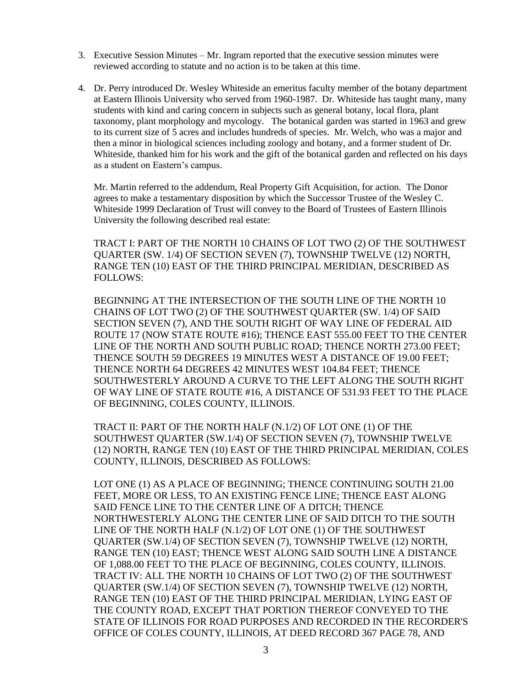- 3. Executive Session Minutes Mr. Ingram reported that the executive session minutes were reviewed according to statute and no action is to be taken at this time.
- 4. Dr. Perry introduced Dr. Wesley Whiteside an emeritus faculty member of the botany department at Eastern Illinois University who served from 1960-1987. Dr. Whiteside has taught many, many students with kind and caring concern in subjects such as general botany, local flora, plant taxonomy, plant morphology and mycology. The botanical garden was started in 1963 and grew to its current size of 5 acres and includes hundreds of species. Mr. Welch, who was a major and then a minor in biological sciences including zoology and botany, and a former student of Dr. Whiteside, thanked him for his work and the gift of the botanical garden and reflected on his days as a student on Eastern's campus.

Mr. Martin referred to the addendum, Real Property Gift Acquisition, for action. The Donor agrees to make a testamentary disposition by which the Successor Trustee of the Wesley C. Whiteside 1999 Declaration of Trust will convey to the Board of Trustees of Eastern Illinois University the following described real estate:

TRACT I: PART OF THE NORTH 10 CHAINS OF LOT TWO (2) OF THE SOUTHWEST QUARTER (SW. 1/4) OF SECTION SEVEN (7), TOWNSHIP TWELVE (12) NORTH, RANGE TEN (10) EAST OF THE THIRD PRINCIPAL MERIDIAN, DESCRIBED AS FOLLOWS:

BEGINNING AT THE INTERSECTION OF THE SOUTH LINE OF THE NORTH 10 CHAINS OF LOT TWO (2) OF THE SOUTHWEST QUARTER (SW. 1/4) OF SAID SECTION SEVEN (7), AND THE SOUTH RIGHT OF WAY LINE OF FEDERAL AID ROUTE 17 (NOW STATE ROUTE #16); THENCE EAST 555.00 FEET TO THE CENTER LINE OF THE NORTH AND SOUTH PUBLIC ROAD; THENCE NORTH 273.00 FEET; THENCE SOUTH 59 DEGREES 19 MINUTES WEST A DISTANCE OF 19.00 FEET; THENCE NORTH 64 DEGREES 42 MINUTES WEST 104.84 FEET; THENCE SOUTHWESTERLY AROUND A CURVE TO THE LEFT ALONG THE SOUTH RIGHT OF WAY LINE OF STATE ROUTE #16, A DISTANCE OF 531.93 FEET TO THE PLACE OF BEGINNING, COLES COUNTY, ILLINOIS.

TRACT II: PART OF THE NORTH HALF (N.1/2) OF LOT ONE (1) OF THE SOUTHWEST QUARTER (SW.1/4) OF SECTION SEVEN (7), TOWNSHIP TWELVE (12) NORTH, RANGE TEN (10) EAST OF THE THIRD PRINCIPAL MERIDIAN, COLES COUNTY, ILLINOIS, DESCRIBED AS FOLLOWS:

LOT ONE (1) AS A PLACE OF BEGINNING; THENCE CONTINUING SOUTH 21.00 FEET, MORE OR LESS, TO AN EXISTING FENCE LINE; THENCE EAST ALONG SAID FENCE LINE TO THE CENTER LINE OF A DITCH; THENCE NORTHWESTERLY ALONG THE CENTER LINE OF SAID DITCH TO THE SOUTH LINE OF THE NORTH HALF (N.1/2) OF LOT ONE (1) OF THE SOUTHWEST QUARTER (SW.1/4) OF SECTION SEVEN (7), TOWNSHIP TWELVE (12) NORTH, RANGE TEN (10) EAST; THENCE WEST ALONG SAID SOUTH LINE A DISTANCE OF 1,088.00 FEET TO THE PLACE OF BEGINNING, COLES COUNTY, ILLINOIS. TRACT IV: ALL THE NORTH 10 CHAINS OF LOT TWO (2) OF THE SOUTHWEST QUARTER (SW.1/4) OF SECTION SEVEN (7), TOWNSHIP TWELVE (12) NORTH, RANGE TEN (10) EAST OF THE THIRD PRINCIPAL MERIDIAN, LYING EAST OF THE COUNTY ROAD, EXCEPT THAT PORTION THEREOF CONVEYED TO THE STATE OF ILLINOIS FOR ROAD PURPOSES AND RECORDED IN THE RECORDER'S OFFICE OF COLES COUNTY, ILLINOIS, AT DEED RECORD 367 PAGE 78, AND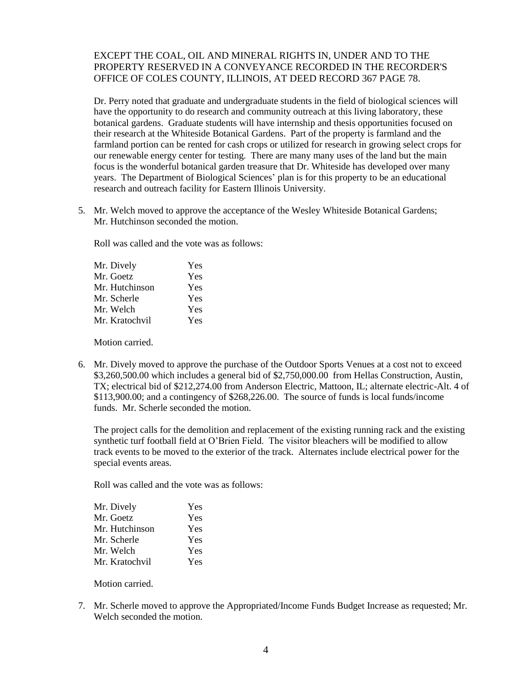# EXCEPT THE COAL, OIL AND MINERAL RIGHTS IN, UNDER AND TO THE PROPERTY RESERVED IN A CONVEYANCE RECORDED IN THE RECORDER'S OFFICE OF COLES COUNTY, ILLINOIS, AT DEED RECORD 367 PAGE 78.

Dr. Perry noted that graduate and undergraduate students in the field of biological sciences will have the opportunity to do research and community outreach at this living laboratory, these botanical gardens. Graduate students will have internship and thesis opportunities focused on their research at the Whiteside Botanical Gardens. Part of the property is farmland and the farmland portion can be rented for cash crops or utilized for research in growing select crops for our renewable energy center for testing. There are many many uses of the land but the main focus is the wonderful botanical garden treasure that Dr. Whiteside has developed over many years. The Department of Biological Sciences' plan is for this property to be an educational research and outreach facility for Eastern Illinois University.

5. Mr. Welch moved to approve the acceptance of the Wesley Whiteside Botanical Gardens; Mr. Hutchinson seconded the motion.

Roll was called and the vote was as follows:

| Mr. Dively     | Yes |
|----------------|-----|
| Mr. Goetz      | Yes |
| Mr. Hutchinson | Yes |
| Mr. Scherle    | Yes |
| Mr. Welch      | Yes |
| Mr. Kratochvil | Yes |
|                |     |

Motion carried.

6. Mr. Dively moved to approve the purchase of the Outdoor Sports Venues at a cost not to exceed \$3,260,500.00 which includes a general bid of \$2,750,000.00 from Hellas Construction, Austin, TX; electrical bid of \$212,274.00 from Anderson Electric, Mattoon, IL; alternate electric-Alt. 4 of \$113,900.00; and a contingency of \$268,226.00. The source of funds is local funds/income funds. Mr. Scherle seconded the motion.

The project calls for the demolition and replacement of the existing running rack and the existing synthetic turf football field at O'Brien Field. The visitor bleachers will be modified to allow track events to be moved to the exterior of the track. Alternates include electrical power for the special events areas.

Roll was called and the vote was as follows:

| Mr. Dively     | Yes |
|----------------|-----|
| Mr. Goetz      | Yes |
| Mr. Hutchinson | Yes |
| Mr. Scherle    | Yes |
| Mr. Welch      | Yes |
| Mr. Kratochvil | Yes |

Motion carried.

7. Mr. Scherle moved to approve the Appropriated/Income Funds Budget Increase as requested; Mr. Welch seconded the motion.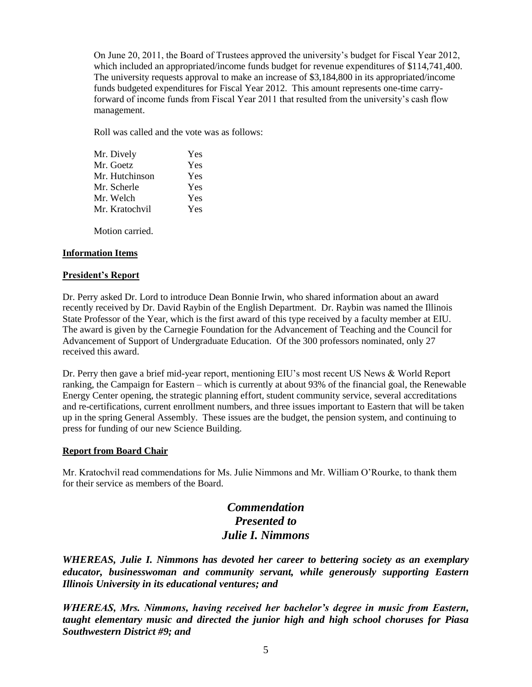On June 20, 2011, the Board of Trustees approved the university's budget for Fiscal Year 2012, which included an appropriated/income funds budget for revenue expenditures of \$114,741,400. The university requests approval to make an increase of \$3,184,800 in its appropriated/income funds budgeted expenditures for Fiscal Year 2012. This amount represents one-time carryforward of income funds from Fiscal Year 2011 that resulted from the university's cash flow management.

Roll was called and the vote was as follows:

| Mr. Dively     | Yes |
|----------------|-----|
| Mr. Goetz      | Yes |
| Mr. Hutchinson | Yes |
| Mr. Scherle    | Yes |
| Mr. Welch      | Yes |
| Mr. Kratochvil | Yes |
|                |     |

Motion carried.

### **Information Items**

### **President's Report**

Dr. Perry asked Dr. Lord to introduce Dean Bonnie Irwin, who shared information about an award recently received by Dr. David Raybin of the English Department. Dr. Raybin was named the Illinois State Professor of the Year, which is the first award of this type received by a faculty member at EIU. The award is given by the Carnegie Foundation for the Advancement of Teaching and the Council for Advancement of Support of Undergraduate Education. Of the 300 professors nominated, only 27 received this award.

Dr. Perry then gave a brief mid-year report, mentioning EIU's most recent US News & World Report ranking, the Campaign for Eastern – which is currently at about 93% of the financial goal, the Renewable Energy Center opening, the strategic planning effort, student community service, several accreditations and re-certifications, current enrollment numbers, and three issues important to Eastern that will be taken up in the spring General Assembly. These issues are the budget, the pension system, and continuing to press for funding of our new Science Building.

### **Report from Board Chair**

Mr. Kratochvil read commendations for Ms. Julie Nimmons and Mr. William O'Rourke, to thank them for their service as members of the Board.

# *Commendation Presented to Julie I. Nimmons*

*WHEREAS, Julie I. Nimmons has devoted her career to bettering society as an exemplary educator, businesswoman and community servant, while generously supporting Eastern Illinois University in its educational ventures; and*

*WHEREAS, Mrs. Nimmons, having received her bachelor's degree in music from Eastern, taught elementary music and directed the junior high and high school choruses for Piasa Southwestern District #9; and*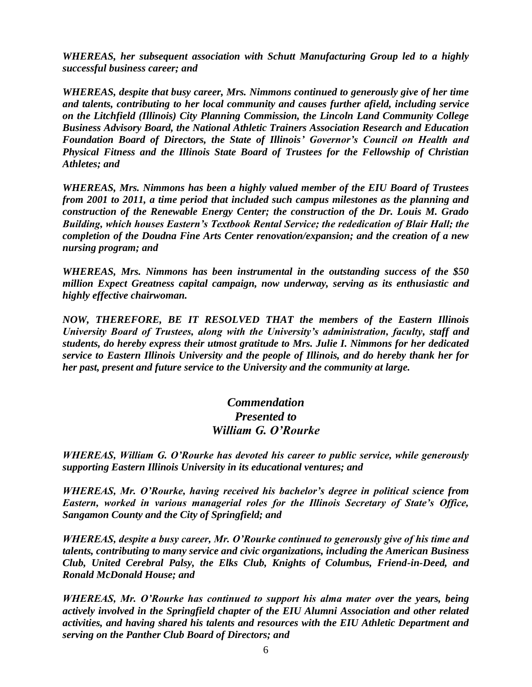*WHEREAS, her subsequent association with Schutt Manufacturing Group led to a highly successful business career; and*

*WHEREAS, despite that busy career, Mrs. Nimmons continued to generously give of her time and talents, contributing to her local community and causes further afield, including service on the Litchfield (Illinois) City Planning Commission, the Lincoln Land Community College Business Advisory Board, the National Athletic Trainers Association Research and Education Foundation Board of Directors, the State of Illinois' Governor's Council on Health and Physical Fitness and the Illinois State Board of Trustees for the Fellowship of Christian Athletes; and*

*WHEREAS, Mrs. Nimmons has been a highly valued member of the EIU Board of Trustees from 2001 to 2011, a time period that included such campus milestones as the planning and construction of the Renewable Energy Center; the construction of the Dr. Louis M. Grado Building, which houses Eastern's Textbook Rental Service; the rededication of Blair Hall; the completion of the Doudna Fine Arts Center renovation/expansion; and the creation of a new nursing program; and*

*WHEREAS, Mrs. Nimmons has been instrumental in the outstanding success of the \$50 million Expect Greatness capital campaign, now underway, serving as its enthusiastic and highly effective chairwoman.* 

*NOW, THEREFORE, BE IT RESOLVED THAT the members of the Eastern Illinois University Board of Trustees, along with the University's administration, faculty, staff and students, do hereby express their utmost gratitude to Mrs. Julie I. Nimmons for her dedicated service to Eastern Illinois University and the people of Illinois, and do hereby thank her for her past, present and future service to the University and the community at large.*

# *Commendation Presented to William G. O'Rourke*

*WHEREAS, William G. O'Rourke has devoted his career to public service, while generously supporting Eastern Illinois University in its educational ventures; and*

*WHEREAS, Mr. O'Rourke, having received his bachelor's degree in political science from Eastern, worked in various managerial roles for the Illinois Secretary of State's Office, Sangamon County and the City of Springfield; and*

*WHEREAS, despite a busy career, Mr. O'Rourke continued to generously give of his time and talents, contributing to many service and civic organizations, including the American Business Club, United Cerebral Palsy, the Elks Club, Knights of Columbus, Friend-in-Deed, and Ronald McDonald House; and*

*WHEREAS, Mr. O'Rourke has continued to support his alma mater over the years, being actively involved in the Springfield chapter of the EIU Alumni Association and other related activities, and having shared his talents and resources with the EIU Athletic Department and serving on the Panther Club Board of Directors; and*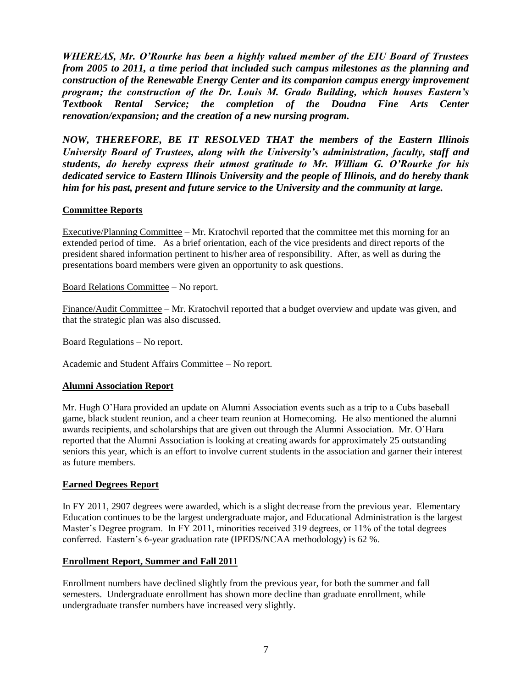*WHEREAS, Mr. O'Rourke has been a highly valued member of the EIU Board of Trustees from 2005 to 2011, a time period that included such campus milestones as the planning and construction of the Renewable Energy Center and its companion campus energy improvement program; the construction of the Dr. Louis M. Grado Building, which houses Eastern's Textbook Rental Service; the completion of the Doudna Fine Arts Center renovation/expansion; and the creation of a new nursing program.*

*NOW, THEREFORE, BE IT RESOLVED THAT the members of the Eastern Illinois University Board of Trustees, along with the University's administration, faculty, staff and students, do hereby express their utmost gratitude to Mr. William G. O'Rourke for his dedicated service to Eastern Illinois University and the people of Illinois, and do hereby thank him for his past, present and future service to the University and the community at large.*

## **Committee Reports**

Executive/Planning Committee – Mr. Kratochvil reported that the committee met this morning for an extended period of time. As a brief orientation, each of the vice presidents and direct reports of the president shared information pertinent to his/her area of responsibility. After, as well as during the presentations board members were given an opportunity to ask questions.

Board Relations Committee – No report.

Finance/Audit Committee – Mr. Kratochvil reported that a budget overview and update was given, and that the strategic plan was also discussed.

Board Regulations – No report.

Academic and Student Affairs Committee – No report.

## **Alumni Association Report**

Mr. Hugh O'Hara provided an update on Alumni Association events such as a trip to a Cubs baseball game, black student reunion, and a cheer team reunion at Homecoming. He also mentioned the alumni awards recipients, and scholarships that are given out through the Alumni Association. Mr. O'Hara reported that the Alumni Association is looking at creating awards for approximately 25 outstanding seniors this year, which is an effort to involve current students in the association and garner their interest as future members.

### **Earned Degrees Report**

In FY 2011, 2907 degrees were awarded, which is a slight decrease from the previous year. Elementary Education continues to be the largest undergraduate major, and Educational Administration is the largest Master's Degree program. In FY 2011, minorities received 319 degrees, or 11% of the total degrees conferred. Eastern's 6-year graduation rate (IPEDS/NCAA methodology) is 62 %.

### **Enrollment Report, Summer and Fall 2011**

Enrollment numbers have declined slightly from the previous year, for both the summer and fall semesters. Undergraduate enrollment has shown more decline than graduate enrollment, while undergraduate transfer numbers have increased very slightly.